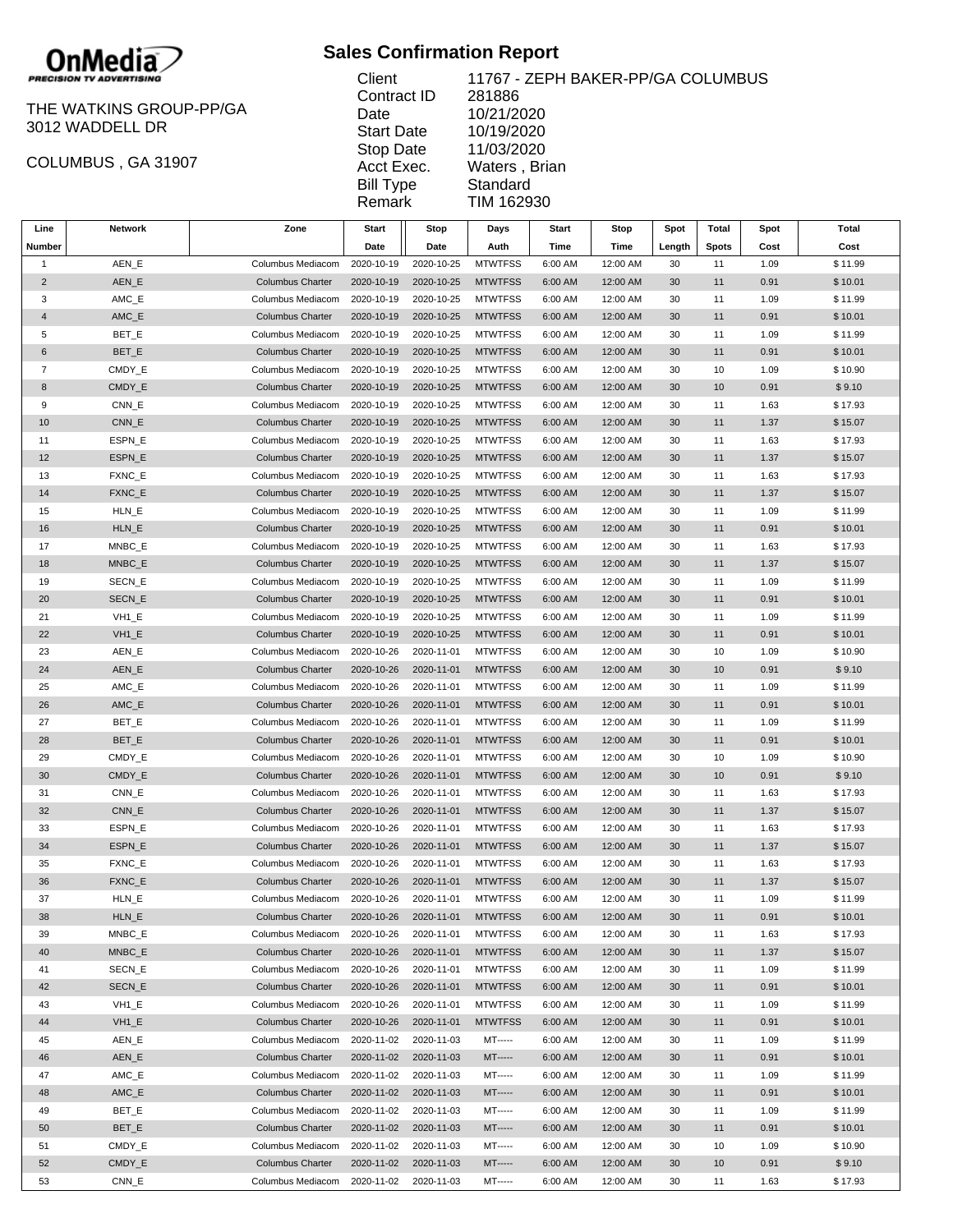

## THE WATKINS GROUP-PP/GA 3012 WADDELL DR

COLUMBUS , GA 31907

## **Sales Confirmation Report**

| Client            | 11767 - ZEP  |
|-------------------|--------------|
| Contract ID       | 281886       |
| Date              | 10/21/2020   |
| <b>Start Date</b> | 10/19/2020   |
| Stop Date         | 11/03/2020   |
| Acct Exec.        | Waters, Bria |
| <b>Bill Type</b>  | Standard     |
| Remark            | TIM 162930   |
|                   |              |

**EPH BAKER-PP/GA COLUMBUS** 10/21/2020 10/19/2020 0 }rian

| Line           | Network              | Zone                    | Start      | Stop       | Days           | Start   | Stop     | Spot   | Total        | Spot | Total   |
|----------------|----------------------|-------------------------|------------|------------|----------------|---------|----------|--------|--------------|------|---------|
| Number         |                      |                         | Date       | Date       | Auth           | Time    | Time     | Length | <b>Spots</b> | Cost | Cost    |
| $\mathbf{1}$   | AEN_E                | Columbus Mediacom       | 2020-10-19 | 2020-10-25 | <b>MTWTFSS</b> | 6:00 AM | 12:00 AM | 30     | 11           | 1.09 | \$11.99 |
| $\overline{2}$ | AEN_E                | <b>Columbus Charter</b> | 2020-10-19 | 2020-10-25 | <b>MTWTFSS</b> | 6:00 AM | 12:00 AM | 30     | 11           | 0.91 | \$10.01 |
| 3              | AMC_E                | Columbus Mediacom       | 2020-10-19 | 2020-10-25 | <b>MTWTFSS</b> | 6:00 AM | 12:00 AM | 30     | 11           | 1.09 | \$11.99 |
| $\overline{4}$ | AMC_E                | <b>Columbus Charter</b> | 2020-10-19 | 2020-10-25 | <b>MTWTFSS</b> | 6:00 AM | 12:00 AM | 30     | 11           | 0.91 | \$10.01 |
| 5              | BET_E                | Columbus Mediacom       | 2020-10-19 | 2020-10-25 | <b>MTWTFSS</b> | 6:00 AM | 12:00 AM | 30     | 11           | 1.09 | \$11.99 |
| 6              | BET_E                | <b>Columbus Charter</b> | 2020-10-19 | 2020-10-25 | <b>MTWTFSS</b> | 6:00 AM | 12:00 AM | 30     | 11           | 0.91 | \$10.01 |
| 7              | CMDY_E               | Columbus Mediacom       | 2020-10-19 | 2020-10-25 | <b>MTWTFSS</b> | 6:00 AM | 12:00 AM | 30     | 10           | 1.09 | \$10.90 |
| 8              | CMDY_E               | <b>Columbus Charter</b> | 2020-10-19 | 2020-10-25 | <b>MTWTFSS</b> | 6:00 AM | 12:00 AM | 30     | 10           | 0.91 | \$9.10  |
| 9              | CNN_E                | Columbus Mediacom       | 2020-10-19 | 2020-10-25 | <b>MTWTFSS</b> | 6:00 AM | 12:00 AM | 30     | 11           | 1.63 | \$17.93 |
| 10             | CNN_E                | <b>Columbus Charter</b> | 2020-10-19 | 2020-10-25 | <b>MTWTFSS</b> | 6:00 AM | 12:00 AM | 30     | 11           | 1.37 | \$15.07 |
| 11             | ESPN_E               | Columbus Mediacom       | 2020-10-19 | 2020-10-25 | <b>MTWTFSS</b> | 6:00 AM | 12:00 AM | 30     | 11           | 1.63 | \$17.93 |
| 12             | ESPN_E               | <b>Columbus Charter</b> | 2020-10-19 | 2020-10-25 | <b>MTWTFSS</b> | 6:00 AM | 12:00 AM | 30     | 11           | 1.37 | \$15.07 |
| 13             | FXNC_E               | Columbus Mediacom       | 2020-10-19 | 2020-10-25 | <b>MTWTFSS</b> | 6:00 AM | 12:00 AM | 30     | 11           | 1.63 | \$17.93 |
| 14             | FXNC_E               | <b>Columbus Charter</b> | 2020-10-19 | 2020-10-25 | <b>MTWTFSS</b> | 6:00 AM | 12:00 AM | 30     | 11           | 1.37 | \$15.07 |
| 15             | HLN_E                | Columbus Mediacom       | 2020-10-19 | 2020-10-25 | <b>MTWTFSS</b> | 6:00 AM | 12:00 AM | 30     | 11           | 1.09 | \$11.99 |
| 16             | HLN_E                | <b>Columbus Charter</b> | 2020-10-19 | 2020-10-25 | <b>MTWTFSS</b> | 6:00 AM | 12:00 AM | 30     | 11           | 0.91 | \$10.01 |
| 17             | MNBC_E               | Columbus Mediacom       | 2020-10-19 | 2020-10-25 | <b>MTWTFSS</b> | 6:00 AM | 12:00 AM | 30     | 11           | 1.63 | \$17.93 |
| 18             | MNBC_E               | <b>Columbus Charter</b> | 2020-10-19 | 2020-10-25 | <b>MTWTFSS</b> | 6:00 AM | 12:00 AM | 30     | 11           | 1.37 | \$15.07 |
| 19             | SECN_E               | Columbus Mediacom       | 2020-10-19 | 2020-10-25 | <b>MTWTFSS</b> | 6:00 AM | 12:00 AM | 30     | 11           | 1.09 | \$11.99 |
| 20             | SECN_E               | <b>Columbus Charter</b> | 2020-10-19 | 2020-10-25 | <b>MTWTFSS</b> | 6:00 AM | 12:00 AM | 30     | 11           | 0.91 | \$10.01 |
| 21             | VH <sub>1_E</sub>    | Columbus Mediacom       | 2020-10-19 | 2020-10-25 | <b>MTWTFSS</b> | 6:00 AM | 12:00 AM | 30     | 11           | 1.09 | \$11.99 |
| 22             | $VH1_E$              | <b>Columbus Charter</b> | 2020-10-19 | 2020-10-25 | <b>MTWTFSS</b> | 6:00 AM | 12:00 AM | 30     | 11           | 0.91 | \$10.01 |
| 23             | AEN_E                | Columbus Mediacom       | 2020-10-26 | 2020-11-01 | <b>MTWTFSS</b> | 6:00 AM | 12:00 AM | 30     | 10           | 1.09 | \$10.90 |
| 24             | AEN_E                | <b>Columbus Charter</b> | 2020-10-26 | 2020-11-01 | <b>MTWTFSS</b> | 6:00 AM | 12:00 AM | 30     | 10           | 0.91 | \$9.10  |
| 25             | AMC_E                | Columbus Mediacom       | 2020-10-26 | 2020-11-01 | <b>MTWTFSS</b> | 6:00 AM | 12:00 AM | 30     | 11           | 1.09 | \$11.99 |
| 26             | AMC_E                | <b>Columbus Charter</b> | 2020-10-26 | 2020-11-01 | <b>MTWTFSS</b> | 6:00 AM | 12:00 AM | 30     | 11           | 0.91 | \$10.01 |
| 27             | BET_E                | Columbus Mediacom       | 2020-10-26 | 2020-11-01 | <b>MTWTFSS</b> | 6:00 AM | 12:00 AM | 30     | 11           | 1.09 | \$11.99 |
| 28             | BET_E                | <b>Columbus Charter</b> | 2020-10-26 | 2020-11-01 | <b>MTWTFSS</b> | 6:00 AM | 12:00 AM | 30     | 11           | 0.91 | \$10.01 |
| 29             | CMDY_E               | Columbus Mediacom       | 2020-10-26 | 2020-11-01 | <b>MTWTFSS</b> | 6:00 AM | 12:00 AM | 30     | 10           | 1.09 | \$10.90 |
| 30             | CMDY_E               | <b>Columbus Charter</b> | 2020-10-26 | 2020-11-01 | <b>MTWTFSS</b> | 6:00 AM | 12:00 AM | 30     | 10           | 0.91 | \$9.10  |
| 31             | CNN_E                | Columbus Mediacom       | 2020-10-26 | 2020-11-01 | <b>MTWTFSS</b> | 6:00 AM | 12:00 AM | 30     | 11           | 1.63 | \$17.93 |
| 32             | CNN_E                | <b>Columbus Charter</b> | 2020-10-26 | 2020-11-01 | <b>MTWTFSS</b> | 6:00 AM | 12:00 AM | 30     | 11           | 1.37 | \$15.07 |
| 33             | ESPN_E               | Columbus Mediacom       | 2020-10-26 | 2020-11-01 | <b>MTWTFSS</b> | 6:00 AM | 12:00 AM | 30     | 11           | 1.63 | \$17.93 |
| 34             | ESPN_E               | <b>Columbus Charter</b> | 2020-10-26 | 2020-11-01 | <b>MTWTFSS</b> | 6:00 AM | 12:00 AM | 30     | 11           | 1.37 | \$15.07 |
| 35             | FXNC_E               | Columbus Mediacom       | 2020-10-26 | 2020-11-01 | <b>MTWTFSS</b> | 6:00 AM | 12:00 AM | 30     | 11           | 1.63 | \$17.93 |
| 36             | FXNC_E               | <b>Columbus Charter</b> | 2020-10-26 | 2020-11-01 | <b>MTWTFSS</b> | 6:00 AM | 12:00 AM | 30     | 11           | 1.37 | \$15.07 |
| 37             | HLN_E                | Columbus Mediacom       | 2020-10-26 | 2020-11-01 | <b>MTWTFSS</b> | 6:00 AM | 12:00 AM | 30     | 11           | 1.09 | \$11.99 |
| 38             | HLN E                | <b>Columbus Charter</b> | 2020-10-26 | 2020-11-01 | <b>MTWTFSS</b> | 6:00 AM | 12:00 AM | 30     | 11           | 0.91 | \$10.01 |
| 39             | MNBC_E               | Columbus Mediacom       | 2020-10-26 | 2020-11-01 | <b>MTWTFSS</b> | 6:00 AM | 12:00 AM | 30     | 11           | 1.63 | \$17.93 |
| 40             | MNBC_E               | <b>Columbus Charter</b> | 2020-10-26 | 2020-11-01 | <b>MTWTFSS</b> | 6:00 AM | 12:00 AM | 30     | 11           | 1.37 | \$15.07 |
| 41             | SECN_E               | Columbus Mediacom       | 2020-10-26 | 2020-11-01 | <b>MTWTFSS</b> | 6:00 AM | 12:00 AM | 30     | 11           | 1.09 | \$11.99 |
| 42             | SECN_E               | <b>Columbus Charter</b> | 2020-10-26 | 2020-11-01 | <b>MTWTFSS</b> | 6:00 AM | 12:00 AM | 30     | 11           | 0.91 | \$10.01 |
| 43             | VH <sub>1_E</sub>    | Columbus Mediacom       | 2020-10-26 | 2020-11-01 | <b>MTWTFSS</b> | 6:00 AM | 12:00 AM | 30     | 11           | 1.09 | \$11.99 |
| 44             | VH <sub>1_E</sub>    | <b>Columbus Charter</b> | 2020-10-26 | 2020-11-01 | <b>MTWTFSS</b> | 6:00 AM | 12:00 AM | 30     | 11           | 0.91 | \$10.01 |
| 45             | AEN_E                | Columbus Mediacom       | 2020-11-02 | 2020-11-03 | <b>MT-----</b> | 6:00 AM | 12:00 AM | 30     | 11           | 1.09 | \$11.99 |
| 46             | AEN_E                | <b>Columbus Charter</b> | 2020-11-02 | 2020-11-03 | $MT$ -----     | 6:00 AM | 12:00 AM | 30     | 11           | 0.91 | \$10.01 |
| 47             | $AMC$ <sub>_</sub> E | Columbus Mediacom       | 2020-11-02 | 2020-11-03 | <b>MT-----</b> | 6:00 AM | 12:00 AM | 30     | 11           | 1.09 | \$11.99 |
| 48             | $AMC$ $E$            | <b>Columbus Charter</b> | 2020-11-02 | 2020-11-03 | $MT$ -----     | 6:00 AM | 12:00 AM | 30     | 11           | 0.91 | \$10.01 |
| 49             | BET_E                | Columbus Mediacom       | 2020-11-02 | 2020-11-03 | <b>MT-----</b> | 6:00 AM | 12:00 AM | 30     | 11           | 1.09 | \$11.99 |
| 50             | BET_E                | <b>Columbus Charter</b> | 2020-11-02 | 2020-11-03 | <b>MT-----</b> | 6:00 AM | 12:00 AM | 30     | 11           | 0.91 | \$10.01 |
| 51             | CMDY_E               | Columbus Mediacom       | 2020-11-02 | 2020-11-03 | MT-----        | 6:00 AM | 12:00 AM | 30     | 10           | 1.09 | \$10.90 |
|                |                      |                         |            |            |                |         |          |        |              |      |         |

52 CMDY\_E Columbus Charter 2020-11-02 2020-11-03 MT----- 6:00 AM 12:00 AM 30 10 0.91 \$ 9.10 53 CNN\_E Columbus Mediacom 2020-11-02 2020-11-03 MT----- 6:00 AM 12:00 AM 30 11 1.63 \$ 17.93